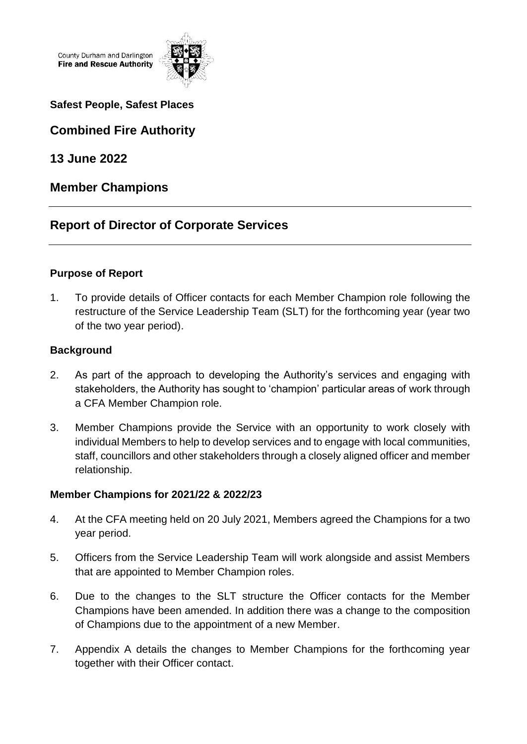County Durham and Darlington **Fire and Rescue Authority** 



#### **Safest People, Safest Places**

**Combined Fire Authority** 

**13 June 2022**

## **Member Champions**

# **Report of Director of Corporate Services**

#### **Purpose of Report**

1. To provide details of Officer contacts for each Member Champion role following the restructure of the Service Leadership Team (SLT) for the forthcoming year (year two of the two year period).

#### **Background**

- 2. As part of the approach to developing the Authority's services and engaging with stakeholders, the Authority has sought to 'champion' particular areas of work through a CFA Member Champion role.
- 3. Member Champions provide the Service with an opportunity to work closely with individual Members to help to develop services and to engage with local communities, staff, councillors and other stakeholders through a closely aligned officer and member relationship.

#### **Member Champions for 2021/22 & 2022/23**

- 4. At the CFA meeting held on 20 July 2021, Members agreed the Champions for a two year period.
- 5. Officers from the Service Leadership Team will work alongside and assist Members that are appointed to Member Champion roles.
- 6. Due to the changes to the SLT structure the Officer contacts for the Member Champions have been amended. In addition there was a change to the composition of Champions due to the appointment of a new Member.
- 7. Appendix A details the changes to Member Champions for the forthcoming year together with their Officer contact.